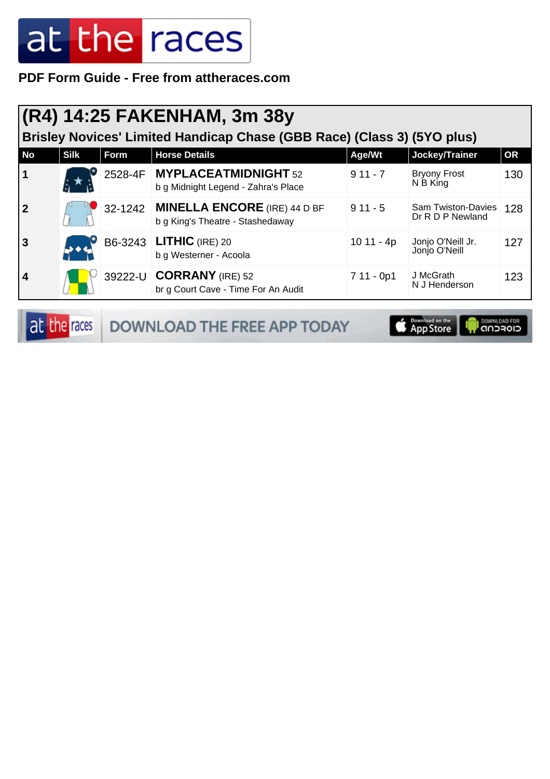**PDF Form Guide - Free from attheraces.com**

#### **(R4) 14:25 FAKENHAM, 3m 38y**

**Brisley Novices' Limited Handicap Chase (GBB Race) (Class 3) (5YO plus)**

| <b>No</b>      | <b>Silk</b> | <b>Form</b> | <b>Horse Details</b>                                                     | Age/Wt     | Jockey/Trainer                         | OR  |
|----------------|-------------|-------------|--------------------------------------------------------------------------|------------|----------------------------------------|-----|
| $\vert$ 1      |             |             | 2528-4F MYPLACEATMIDNIGHT 52<br>b g Midnight Legend - Zahra's Place      | $911 - 7$  | <b>Bryony Frost</b><br>N B King        | 130 |
| $\overline{2}$ |             |             | 32-1242 MINELLA ENCORE (IRE) 44 D BF<br>b g King's Theatre - Stashedaway | $911 - 5$  | Sam Twiston-Davies<br>Dr R D P Newland | 128 |
| $\overline{3}$ |             |             | B6-3243 <b>LITHIC</b> (IRE) 20<br>b g Westerner - Acoola                 | 10 11 - 4p | Jonjo O'Neill Jr.<br>Jonjo O'Neill     | 127 |
| 4              |             |             | 39222-U <b>CORRANY</b> (IRE) 52<br>br g Court Cave - Time For An Audit   | 7 11 - 0p1 | J McGrath<br>N J Henderson             | 123 |

at the races DOWNLOAD THE FREE APP TODAY App Store **OOWNLOAD FOR**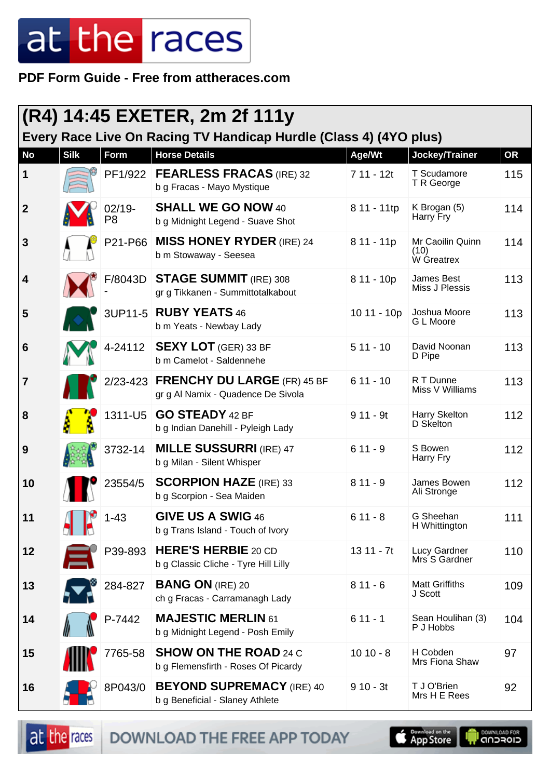**PDF Form Guide - Free from attheraces.com**

| (R4) 14:45 EXETER, 2m 2f 111y |             |                             |                                                                            |             |                                        |           |
|-------------------------------|-------------|-----------------------------|----------------------------------------------------------------------------|-------------|----------------------------------------|-----------|
|                               |             |                             | Every Race Live On Racing TV Handicap Hurdle (Class 4) (4YO plus)          |             |                                        |           |
| <b>No</b>                     | <b>Silk</b> | Form                        | <b>Horse Details</b>                                                       | Age/Wt      | Jockey/Trainer                         | <b>OR</b> |
| 1                             |             | PF1/922                     | <b>FEARLESS FRACAS (IRE) 32</b><br>b g Fracas - Mayo Mystique              | 7 11 - 12t  | T Scudamore<br>T R George              | 115       |
| $\boldsymbol{2}$              |             | $02/19 -$<br>P <sub>8</sub> | <b>SHALL WE GO NOW 40</b><br>b g Midnight Legend - Suave Shot              | 8 11 - 11tp | K Brogan (5)<br>Harry Fry              | 114       |
| 3                             |             | P21-P66                     | <b>MISS HONEY RYDER (IRE) 24</b><br>b m Stowaway - Seesea                  | 8 11 - 11p  | Mr Caoilin Quinn<br>(10)<br>W Greatrex | 114       |
| 4                             |             | F/8043D                     | <b>STAGE SUMMIT (IRE) 308</b><br>gr g Tikkanen - Summittotalkabout         | 8 11 - 10p  | James Best<br>Miss J Plessis           | 113       |
| 5                             |             |                             | 3UP11-5 RUBY YEATS 46<br>b m Yeats - Newbay Lady                           | 10 11 - 10p | Joshua Moore<br>G L Moore              | 113       |
| 6                             |             | 4-24112                     | <b>SEXY LOT</b> (GER) 33 BF<br>b m Camelot - Saldennehe                    | $511 - 10$  | David Noonan<br>D Pipe                 | 113       |
| 7                             |             |                             | 2/23-423 FRENCHY DU LARGE (FR) 45 BF<br>gr g Al Namix - Quadence De Sivola | $611 - 10$  | R T Dunne<br>Miss V Williams           | 113       |
| 8                             |             | 1311-U5                     | <b>GO STEADY 42 BF</b><br>b g Indian Danehill - Pyleigh Lady               | $911 - 9t$  | Harry Skelton<br>D Skelton             | 112       |
| 9                             |             | 3732-14                     | <b>MILLE SUSSURRI (IRE) 47</b><br>b g Milan - Silent Whisper               | $611 - 9$   | S Bowen<br>Harry Fry                   | 112       |
| 10                            |             | 23554/5                     | <b>SCORPION HAZE (IRE) 33</b><br>b g Scorpion - Sea Maiden                 | $811 - 9$   | James Bowen<br>Ali Stronge             | 112       |
| 11                            |             | $1 - 43$                    | GIVE US A SWIG 46<br>b g Trans Island - Touch of Ivory                     | $611 - 8$   | G Sheehan<br>H Whittington             | 111       |
| 12                            |             | P39-893                     | <b>HERE'S HERBIE 20 CD</b><br>b g Classic Cliche - Tyre Hill Lilly         | $1311 - 7t$ | Lucy Gardner<br>Mrs S Gardner          | 110       |
| 13                            |             | 284-827                     | <b>BANG ON (IRE) 20</b><br>ch g Fracas - Carramanagh Lady                  | $811 - 6$   | <b>Matt Griffiths</b><br>J Scott       | 109       |
| 14                            |             | P-7442                      | <b>MAJESTIC MERLIN 61</b><br>b g Midnight Legend - Posh Emily              | $611 - 1$   | Sean Houlihan (3)<br>P J Hobbs         | 104       |
| 15                            |             | 7765-58                     | <b>SHOW ON THE ROAD 24 C</b><br>b g Flemensfirth - Roses Of Picardy        | $1010 - 8$  | H Cobden<br>Mrs Fiona Shaw             | 97        |
| 16                            |             | 8P043/0                     | <b>BEYOND SUPREMACY (IRE) 40</b><br>b g Beneficial - Slaney Athlete        | $910 - 3t$  | T J O'Brien<br>Mrs H E Rees            | 92        |

at the races DOWNLOAD THE FREE APP TODAY

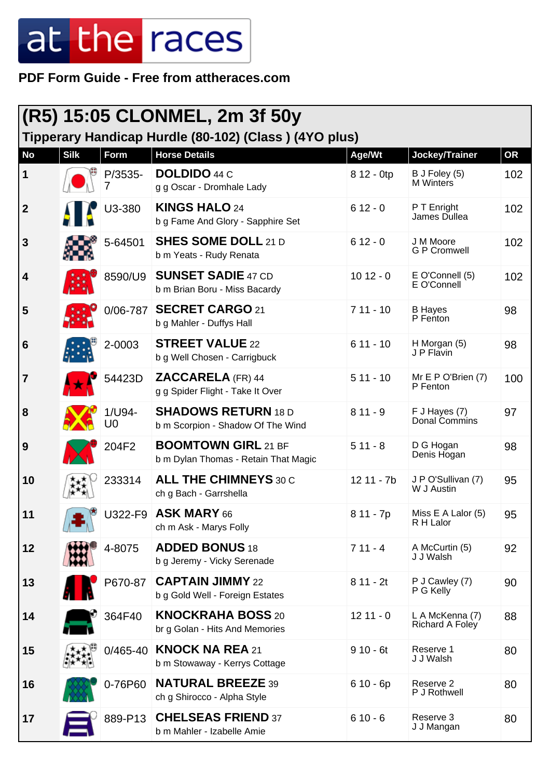**PDF Form Guide - Free from attheraces.com**

| (R5) 15:05 CLONMEL, 2m 3f 50y<br>Tipperary Handicap Hurdle (80-102) (Class) (4YO plus) |             |              |                                                                    |            |                                    |           |
|----------------------------------------------------------------------------------------|-------------|--------------|--------------------------------------------------------------------|------------|------------------------------------|-----------|
| <b>No</b>                                                                              | <b>Silk</b> | Form         | <b>Horse Details</b>                                               | Age/Wt     | Jockey/Trainer                     | <b>OR</b> |
| 1                                                                                      |             | P/3535-<br>7 | <b>DOLDIDO</b> 44 C<br>g g Oscar - Dromhale Lady                   | 8 12 - 0tp | B J Foley (5)<br><b>M</b> Winters  | 102       |
| $\boldsymbol{2}$                                                                       |             | U3-380       | <b>KINGS HALO 24</b><br>b g Fame And Glory - Sapphire Set          | $612 - 0$  | P T Enright<br>James Dullea        | 102       |
| 3                                                                                      |             | 5-64501      | <b>SHES SOME DOLL 21 D</b><br>b m Yeats - Rudy Renata              | $612 - 0$  | J M Moore<br><b>G P Cromwell</b>   | 102       |
| 4                                                                                      |             | 8590/U9      | <b>SUNSET SADIE 47 CD</b><br>b m Brian Boru - Miss Bacardy         | $1012 - 0$ | E O'Connell (5)<br>E O'Connell     | 102       |
| 5                                                                                      |             | 0/06-787     | <b>SECRET CARGO 21</b><br>b g Mahler - Duffys Hall                 | $711 - 10$ | <b>B</b> Hayes<br>P Fenton         | 98        |
| 6                                                                                      |             | 2-0003       | <b>STREET VALUE 22</b><br>b g Well Chosen - Carrigbuck             | $611 - 10$ | H Morgan (5)<br>J P Flavin         | 98        |
| 7                                                                                      |             | 54423D       | <b>ZACCARELA (FR) 44</b><br>g g Spider Flight - Take It Over       | $511 - 10$ | Mr E P O'Brien (7)<br>P Fenton     | 100       |
| 8                                                                                      |             | 1/U94-<br>U0 | <b>SHADOWS RETURN 18 D</b><br>b m Scorpion - Shadow Of The Wind    | $811 - 9$  | F J Hayes (7)<br>Donal Commins     | 97        |
| 9                                                                                      |             | 204F2        | <b>BOOMTOWN GIRL 21 BF</b><br>b m Dylan Thomas - Retain That Magic | $511 - 8$  | D G Hogan<br>Denis Hogan           | 98        |
| 10                                                                                     |             | 233314       | <b>ALL THE CHIMNEYS 30 C</b><br>ch g Bach - Garrshella             | 12 11 - 7b | J P O'Sullivan (7)<br>W J Austin   | 95        |
| 11                                                                                     |             |              | U322-F9 ASK MARY 66<br>ch m Ask - Marys Folly                      | 8 11 - 7p  | Miss E A Lalor (5)<br>R H Lalor    | 95        |
| 12                                                                                     |             | 4-8075       | <b>ADDED BONUS 18</b><br>b g Jeremy - Vicky Serenade               | $711 - 4$  | A McCurtin (5)<br>J J Walsh        | 92        |
| 13                                                                                     |             | P670-87      | <b>CAPTAIN JIMMY 22</b><br>b g Gold Well - Foreign Estates         | $811 - 2t$ | P J Cawley (7)<br>P G Kelly        | 90        |
| 14                                                                                     |             | 364F40       | <b>KNOCKRAHA BOSS 20</b><br>br g Golan - Hits And Memories         | $1211 - 0$ | L A McKenna (7)<br>Richard A Foley | 88        |
| 15                                                                                     |             | $0/465 - 40$ | <b>KNOCK NA REA 21</b><br>b m Stowaway - Kerrys Cottage            | $910 - 6t$ | Reserve 1<br>J J Walsh             | 80        |
| 16                                                                                     |             | 0-76P60      | <b>NATURAL BREEZE 39</b><br>ch g Shirocco - Alpha Style            | $610 - 6p$ | Reserve 2<br>P J Rothwell          | 80        |
| 17                                                                                     |             | 889-P13      | <b>CHELSEAS FRIEND 37</b><br>b m Mahler - Izabelle Amie            | $610 - 6$  | Reserve 3<br>J J Mangan            | 80        |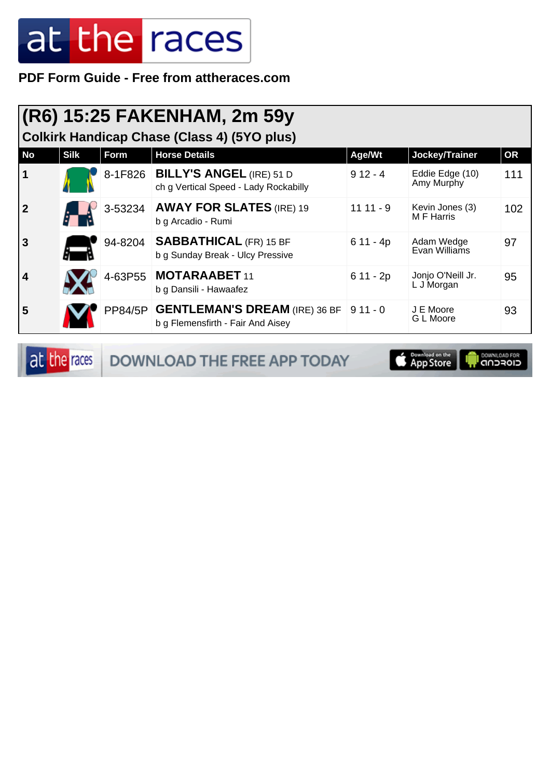**PDF Form Guide - Free from attheraces.com**

| (R6) 15:25 FAKENHAM, 2m 59y<br><b>Colkirk Handicap Chase (Class 4) (5YO plus)</b> |             |         |                                                                                     |            |                                 |           |  |
|-----------------------------------------------------------------------------------|-------------|---------|-------------------------------------------------------------------------------------|------------|---------------------------------|-----------|--|
| <b>No</b>                                                                         | <b>Silk</b> | Form    | <b>Horse Details</b>                                                                | Age/Wt     | Jockey/Trainer                  | <b>OR</b> |  |
| 1                                                                                 |             |         | 8-1F826 BILLY'S ANGEL (IRE) 51 D<br>ch g Vertical Speed - Lady Rockabilly           | $912 - 4$  | Eddie Edge (10)<br>Amy Murphy   | 111       |  |
| 2                                                                                 |             | 3-53234 | <b>AWAY FOR SLATES (IRE) 19</b><br>b g Arcadio - Rumi                               | $1111 - 9$ | Kevin Jones (3)<br>M F Harris   | 102       |  |
| 3                                                                                 |             | 94-8204 | <b>SABBATHICAL (FR) 15 BF</b><br>b g Sunday Break - Ulcy Pressive                   | $611 - 4p$ | Adam Wedge<br>Evan Williams     | 97        |  |
| 4                                                                                 |             |         | 4-63P55 MOTARAABET 11<br>b g Dansili - Hawaafez                                     | $611 - 2p$ | Jonjo O'Neill Jr.<br>L J Morgan | 95        |  |
| 5                                                                                 |             |         | PP84/5P GENTLEMAN'S DREAM (IRE) 36 BF 9 11 - 0<br>b g Flemensfirth - Fair And Aisey |            | J E Moore<br>G L Moore          | 93        |  |

at the races DOWNLOAD THE FREE APP TODAY

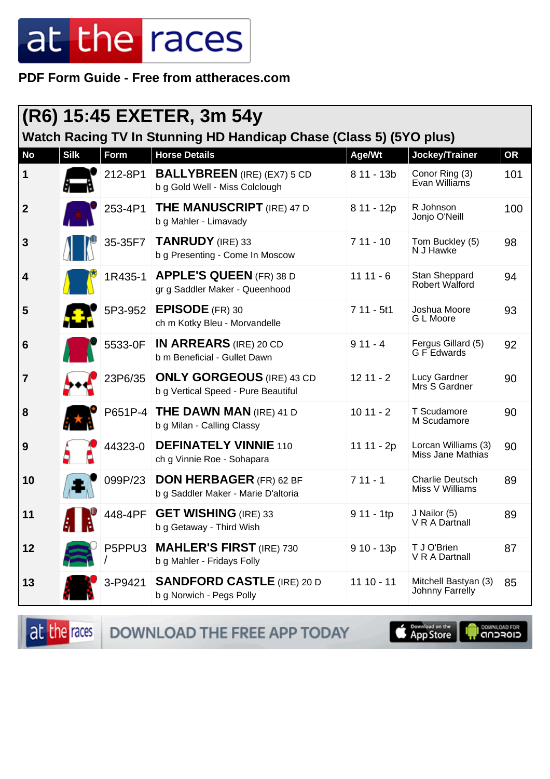**PDF Form Guide - Free from attheraces.com**

|                 | (R6) 15:45 EXETER, 3m 54y<br>Watch Racing TV In Stunning HD Handicap Chase (Class 5) (5YO plus) |         |                                                                         |              |                                           |           |
|-----------------|-------------------------------------------------------------------------------------------------|---------|-------------------------------------------------------------------------|--------------|-------------------------------------------|-----------|
| <b>No</b>       | <b>Silk</b>                                                                                     | Form    | <b>Horse Details</b>                                                    | Age/Wt       | Jockey/Trainer                            | <b>OR</b> |
| 1               |                                                                                                 | 212-8P1 | <b>BALLYBREEN</b> (IRE) (EX7) 5 CD<br>b g Gold Well - Miss Colclough    | $811 - 13b$  | Conor Ring (3)<br>Evan Williams           | 101       |
| $\overline{2}$  |                                                                                                 | 253-4P1 | <b>THE MANUSCRIPT</b> (IRE) 47 D<br>b g Mahler - Limavady               | 8 11 - 12p   | R Johnson<br>Jonjo O'Neill                | 100       |
| $\mathbf{3}$    |                                                                                                 | 35-35F7 | <b>TANRUDY</b> (IRE) 33<br>b g Presenting - Come In Moscow              | $711 - 10$   | Tom Buckley (5)<br>N J Hawke              | 98        |
| $\vert$ 4       |                                                                                                 | 1R435-1 | <b>APPLE'S QUEEN (FR) 38 D</b><br>gr g Saddler Maker - Queenhood        | $1111 - 6$   | Stan Sheppard<br>Robert Walford           | 94        |
| 5               |                                                                                                 | 5P3-952 | <b>EPISODE</b> (FR) 30<br>ch m Kotky Bleu - Morvandelle                 | $711 - 5t1$  | Joshua Moore<br>G L Moore                 | 93        |
| $6\phantom{1}6$ |                                                                                                 | 5533-0F | <b>IN ARREARS</b> (IRE) 20 CD<br>b m Beneficial - Gullet Dawn           | $911 - 4$    | Fergus Gillard (5)<br>G F Edwards         | 92        |
| $\overline{7}$  |                                                                                                 | 23P6/35 | <b>ONLY GORGEOUS</b> (IRE) 43 CD<br>b g Vertical Speed - Pure Beautiful | $1211 - 2$   | Lucy Gardner<br>Mrs S Gardner             | 90        |
| 8               |                                                                                                 | P651P-4 | <b>THE DAWN MAN (IRE) 41 D</b><br>b g Milan - Calling Classy            | $1011 - 2$   | T Scudamore<br>M Scudamore                | 90        |
| 9               |                                                                                                 | 44323-0 | <b>DEFINATELY VINNIE 110</b><br>ch g Vinnie Roe - Sohapara              | 11 11 - 2p   | Lorcan Williams (3)<br>Miss Jane Mathias  | 90        |
| 10              |                                                                                                 | 099P/23 | <b>DON HERBAGER (FR) 62 BF</b><br>b g Saddler Maker - Marie D'altoria   | $711 - 1$    | <b>Charlie Deutsch</b><br>Miss V Williams | 89        |
| 11              |                                                                                                 |         | 448-4PF GET WISHING (IRE) 33<br>b g Getaway - Third Wish                | $911 - 1tp$  | J Nailor (5)<br>V R A Dartnall            | 89        |
| 12              |                                                                                                 | P5PPU3  | <b>MAHLER'S FIRST (IRE) 730</b><br>b g Mahler - Fridays Folly           | $910 - 13p$  | T J O'Brien<br>V R A Dartnall             | 87        |
| 13              |                                                                                                 | 3-P9421 | <b>SANDFORD CASTLE (IRE) 20 D</b><br>b g Norwich - Pegs Polly           | $11 10 - 11$ | Mitchell Bastyan (3)<br>Johnny Farrelly   | 85        |

at the races DOWNLOAD THE FREE APP TODAY

App Store

**OOWNLOAD FOR**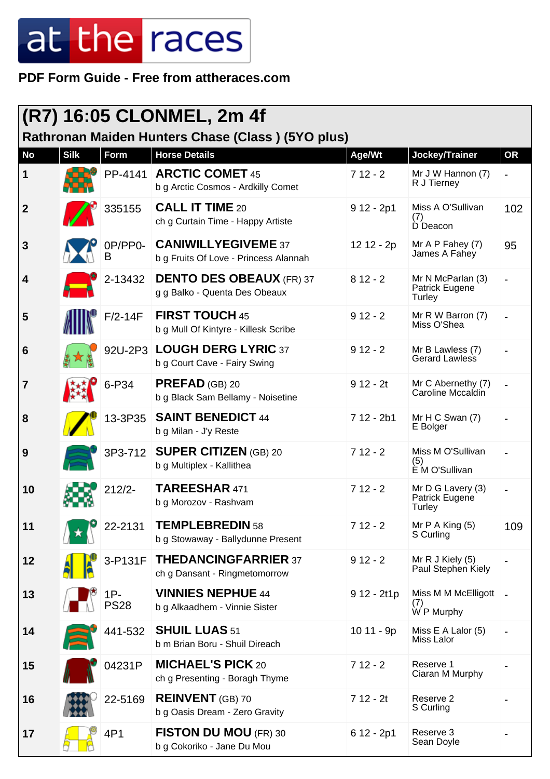#### **PDF Form Guide - Free from attheraces.com**

| (R7) 16:05 CLONMEL, 2m 4f |             |                       |                                                                      |              |                                               |           |
|---------------------------|-------------|-----------------------|----------------------------------------------------------------------|--------------|-----------------------------------------------|-----------|
|                           |             |                       | Rathronan Maiden Hunters Chase (Class) (5YO plus)                    |              |                                               |           |
| <b>No</b>                 | <b>Silk</b> | Form                  | <b>Horse Details</b>                                                 | Age/Wt       | Jockey/Trainer                                | <b>OR</b> |
| 1                         |             | PP-4141               | <b>ARCTIC COMET 45</b><br>b g Arctic Cosmos - Ardkilly Comet         | $712 - 2$    | Mr J W Hannon (7)<br>R J Tierney              |           |
| $\boldsymbol{2}$          |             | 335155                | <b>CALL IT TIME 20</b><br>ch g Curtain Time - Happy Artiste          | $912 - 2p1$  | Miss A O'Sullivan<br>(7)<br>D Deacon          | 102       |
| 3                         |             | B                     | 0P/PP0- CANIWILLYEGIVEME 37<br>b g Fruits Of Love - Princess Alannah | 12 12 - 2p   | Mr $A \, P$ Fahey (7)<br>James A Fahey        | 95        |
| 4                         |             | 2-13432               | <b>DENTO DES OBEAUX (FR) 37</b><br>g g Balko - Quenta Des Obeaux     | $812 - 2$    | Mr N McParlan (3)<br>Patrick Eugene<br>Turley |           |
| 5                         |             | $F/2-14F$             | <b>FIRST TOUCH 45</b><br>b g Mull Of Kintyre - Killesk Scribe        | $912 - 2$    | Mr R W Barron (7)<br>Miss O'Shea              |           |
| 6                         |             |                       | 92U-2P3 LOUGH DERG LYRIC 37<br>b g Court Cave - Fairy Swing          | $912 - 2$    | Mr B Lawless (7)<br>Gerard Lawless            |           |
| 7                         |             | 6-P34                 | $PREFAD$ (GB) 20<br>b g Black Sam Bellamy - Noisetine                | $912 - 2t$   | Mr C Abernethy (7)<br>Caroline Mccaldin       |           |
| 8                         |             | 13-3P35               | <b>SAINT BENEDICT 44</b><br>b g Milan - J'y Reste                    | $712 - 2b1$  | Mr $H C$ Swan $(7)$<br>E Bolger               |           |
| 9                         |             | 3P3-712               | <b>SUPER CITIZEN (GB) 20</b><br>b g Multiplex - Kallithea            | $712 - 2$    | Miss M O'Sullivan<br>(5)<br>E M O'Sullivan    |           |
| 10                        |             | $212/2 -$             | TAREESHAR 471<br>b g Morozov - Rashvam                               | $712 - 2$    | Mr D G Lavery (3)<br>Patrick Eugene<br>Turley |           |
| 11                        |             | 22-2131               | <b>TEMPLEBREDIN 58</b><br>b g Stowaway - Ballydunne Present          | $712 - 2$    | Mr $P$ A King $(5)$<br>S Curling              | 109       |
| 12                        |             | 3-P131F               | <b>THEDANCINGFARRIER 37</b><br>ch g Dansant - Ringmetomorrow         | $912 - 2$    | Mr R J Kiely (5)<br>Paul Stephen Kiely        |           |
| 13                        |             | $1P -$<br><b>PS28</b> | <b>VINNIES NEPHUE 44</b><br>b g Alkaadhem - Vinnie Sister            | $912 - 2t1p$ | Miss M M McElligott   -<br>(7)<br>W P Murphy  |           |
| 14                        |             | 441-532               | <b>SHUIL LUAS 51</b><br>b m Brian Boru - Shuil Direach               | $1011 - 9p$  | Miss E A Lalor (5)<br>Miss Lalor              |           |
| 15                        |             | 04231P                | <b>MICHAEL'S PICK 20</b><br>ch g Presenting - Boragh Thyme           | $712 - 2$    | Reserve 1<br>Ciaran M Murphy                  |           |
| 16                        |             | 22-5169               | <b>REINVENT</b> (GB) 70<br>b g Oasis Dream - Zero Gravity            | $712 - 2t$   | Reserve 2<br>S Curling                        |           |
| 17                        |             | 4P1                   | <b>FISTON DU MOU</b> (FR) 30<br>b g Cokoriko - Jane Du Mou           | 6 12 - 2p1   | Reserve 3<br>Sean Doyle                       |           |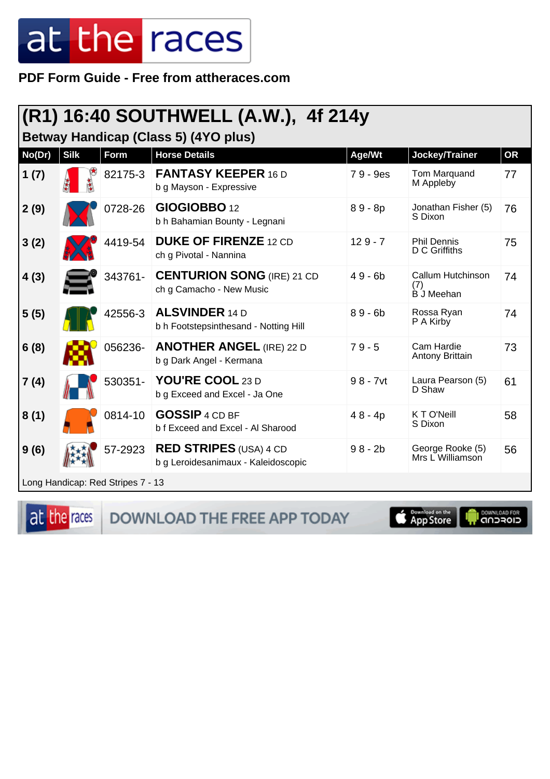**PDF Form Guide - Free from attheraces.com**

|        |                                      |         | (R1) 16:40 SOUTHWELL (A.W.), 4f 214y                           |             |                                               |           |  |  |
|--------|--------------------------------------|---------|----------------------------------------------------------------|-------------|-----------------------------------------------|-----------|--|--|
|        | Betway Handicap (Class 5) (4YO plus) |         |                                                                |             |                                               |           |  |  |
| No(Dr) | <b>Silk</b>                          | Form    | <b>Horse Details</b>                                           | Age/Wt      | Jockey/Trainer                                | <b>OR</b> |  |  |
| 1(7)   |                                      | 82175-3 | <b>FANTASY KEEPER 16 D</b><br>b g Mayson - Expressive          | 79 - 9es    | Tom Marquand<br>M Appleby                     | 77        |  |  |
| 2(9)   |                                      | 0728-26 | GIOGIOBBO 12<br>b h Bahamian Bounty - Legnani                  | $89 - 8p$   | Jonathan Fisher (5)<br>S Dixon                | 76        |  |  |
| 3(2)   |                                      | 4419-54 | <b>DUKE OF FIRENZE 12 CD</b><br>ch g Pivotal - Nannina         | $129 - 7$   | <b>Phil Dennis</b><br>D C Griffiths           | 75        |  |  |
| 4(3)   |                                      | 343761- | <b>CENTURION SONG (IRE) 21 CD</b><br>ch g Camacho - New Music  | $49 - 6b$   | Callum Hutchinson<br>(7)<br><b>B</b> J Meehan | 74        |  |  |
| 5(5)   |                                      | 42556-3 | <b>ALSVINDER 14 D</b><br>b h Footstepsinthesand - Notting Hill | $89 - 6b$   | Rossa Ryan<br>P A Kirby                       | 74        |  |  |
| 6(8)   |                                      | 056236- | <b>ANOTHER ANGEL (IRE) 22 D</b><br>b g Dark Angel - Kermana    | $79 - 5$    | Cam Hardie<br>Antony Brittain                 | 73        |  |  |
| 7(4)   |                                      | 530351- | YOU'RE COOL 23 D<br>b g Exceed and Excel - Ja One              | $98 - 7$ vt | Laura Pearson (5)<br>D Shaw                   | 61        |  |  |
| 8(1)   |                                      | 0814-10 | <b>GOSSIP 4 CD BF</b><br>b f Exceed and Excel - Al Sharood     | $48 - 4p$   | K T O'Neill<br>S Dixon                        | 58        |  |  |
| 9(6)   |                                      | 57-2923 | <b>RED STRIPES</b> (USA) 4 CD                                  | $98 - 2b$   | George Rooke (5)                              | 56        |  |  |

Long Handicap: Red Stripes 7 - 13

at the races

DOWNLOAD THE FREE APP TODAY

b g Leroidesanimaux - Kaleidoscopic

**S** Download on the

Mrs L Williamson

**OOWNLOAD FOR**